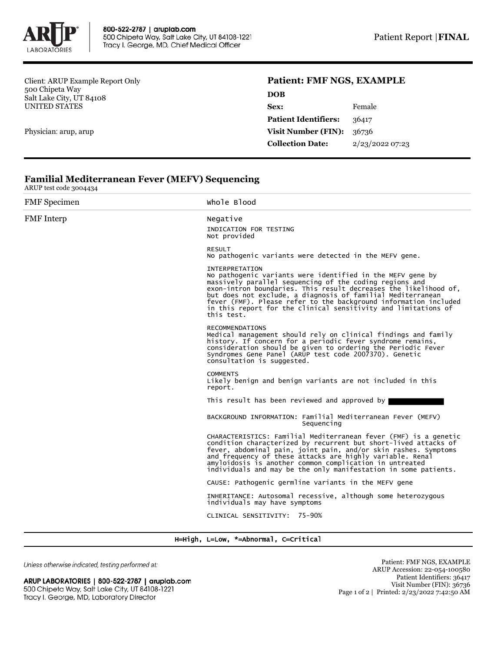

Client: ARUP Example Report Only 500 Chipeta Way Salt Lake City, UT 84108 UNITED STATES

Physician: arup, arup

# **Patient: FMF NGS, EXAMPLE**

| <b>DOB</b>                  |                 |
|-----------------------------|-----------------|
| Sex:                        | Female          |
| <b>Patient Identifiers:</b> | 36417           |
| <b>Visit Number (FIN):</b>  | 36736           |
| <b>Collection Date:</b>     | 2/23/2022 07:23 |
|                             |                 |

### **Familial Mediterranean Fever (MEFV) Sequencing**

ARUP test code 3004434

FMF Specimen Whole Blood FMF Interp Negative INDICATION FOR TESTING Not provided RESULT No pathogenic variants were detected in the MEFV gene. INTERPRETATION No pathogenic variants were identified in the MEFV gene by massively parallel sequencing of the coding regions and exon-intron boundaries. This result decreases the likelihood of, but does not exclude, a diagnosis of familial Mediterranean fever (FMF). Please refer to the background information included in this report for the clinical sensitivity and limitations of this test. RECOMMENDATIONS Medical management should rely on clinical findings and family history. If concern for a periodic fever syndrome remains, consideration should be given to ordering the Periodic Fever Syndromes Gene Panel (ARUP test code 2007370). Genetic consultation is suggested. **COMMENTS** Likely benign and benign variants are not included in this report. This result has been reviewed and approved by BACKGROUND INFORMATION: Familial Mediterranean Fever (MEFV) Sequencing CHARACTERISTICS: Familial Mediterranean fever (FMF) is a genetic condition characterized by recurrent but short-lived attacks of fever, abdominal pain, joint pain, and/or skin rashes. Symptoms and frequency of these attacks are highly variable. Renal amyloidosis is another common complication in untreated individuals and may be the only manifestation in some patients. CAUSE: Pathogenic germline variants in the MEFV gene INHERITANCE: Autosomal recessive, although some heterozygous individuals may have symptoms CLINICAL SENSITIVITY: 75-90%

# H=High, L=Low, \*=Abnormal, C=Critical

Unless otherwise indicated, testing performed at:

ARUP LABORATORIES | 800-522-2787 | aruplab.com 500 Chipeta Way, Salt Lake City, UT 84108-1221 Tracy I. George, MD, Laboratory Director

Patient: FMF NGS, EXAMPLE ARUP Accession: 22-054-100580 Patient Identifiers: 36417 Visit Number (FIN): 36736 Page 1 of 2 | Printed: 2/23/2022 7:42:50 AM